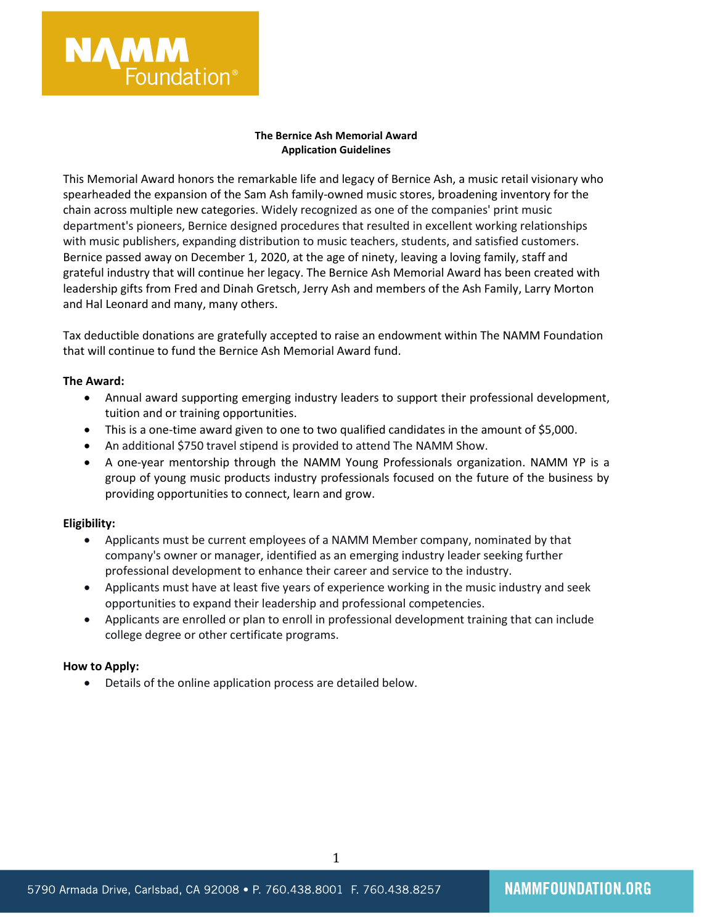

### **The Bernice Ash Memorial Award Application Guidelines**

This Memorial Award honors the remarkable life and legacy of Bernice Ash, a music retail visionary who spearheaded the expansion of the Sam Ash family-owned music stores, broadening inventory for the chain across multiple new categories. Widely recognized as one of the companies' print music department's pioneers, Bernice designed procedures that resulted in excellent working relationships with music publishers, expanding distribution to music teachers, students, and satisfied customers. Bernice passed away on December 1, 2020, at the age of ninety, leaving a loving family, staff and grateful industry that will continue her legacy. The Bernice Ash Memorial Award has been created with leadership gifts from Fred and Dinah Gretsch, Jerry Ash and members of the Ash Family, Larry Morton and Hal Leonard and many, many others.

Tax deductible donations are gratefully accepted to raise an endowment within The NAMM Foundation that will continue to fund the Bernice Ash Memorial Award fund.

#### **The Award:**

- Annual award supporting emerging industry leaders to support their professional development, tuition and or training opportunities.
- This is a one-time award given to one to two qualified candidates in the amount of \$5,000.
- An additional \$750 travel stipend is provided to attend The NAMM Show.
- A one-year mentorship through the NAMM Young Professionals organization. NAMM YP is a group of young music products industry professionals focused on the future of the business by providing opportunities to connect, learn and grow.

#### **Eligibility:**

- Applicants must be current employees of a NAMM Member company, nominated by that company's owner or manager, identified as an emerging industry leader seeking further professional development to enhance their career and service to the industry.
- Applicants must have at least five years of experience working in the music industry and seek opportunities to expand their leadership and professional competencies.
- Applicants are enrolled or plan to enroll in professional development training that can include college degree or other certificate programs.

#### **How to Apply:**

• Details of the online application process are detailed below.